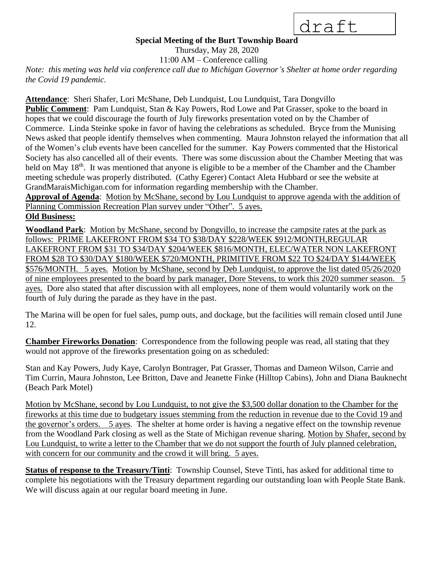draft

## **Special Meeting of the Burt Township Board**

Thursday, May 28, 2020

11:00 AM – Conference calling

*Note: this meting was held via conference call due to Michigan Governor's Shelter at home order regarding the Covid 19 pandemic.*

**Attendance**: Sheri Shafer, Lori McShane, Deb Lundquist, Lou Lundquist, Tara Dongvillo **Public Comment**: Pam Lundquist, Stan & Kay Powers, Rod Lowe and Pat Grasser, spoke to the board in hopes that we could discourage the fourth of July fireworks presentation voted on by the Chamber of Commerce. Linda Steinke spoke in favor of having the celebrations as scheduled. Bryce from the Munising News asked that people identify themselves when commenting. Maura Johnston relayed the information that all of the Women's club events have been cancelled for the summer. Kay Powers commented that the Historical Society has also cancelled all of their events. There was some discussion about the Chamber Meeting that was held on May 18<sup>th</sup>. It was mentioned that anyone is eligible to be a member of the Chamber and the Chamber meeting schedule was properly distributed. (Cathy Egerer) Contact Aleta Hubbard or see the website at GrandMaraisMichigan.com for information regarding membership with the Chamber.

**Approval of Agenda**: Motion by McShane, second by Lou Lundquist to approve agenda with the addition of Planning Commission Recreation Plan survey under "Other". 5 ayes.

## **Old Business:**

**Woodland Park**: Motion by McShane, second by Dongvillo, to increase the campsite rates at the park as follows: PRIME LAKEFRONT FROM \$34 TO \$38/DAY \$228/WEEK \$912/MONTH,REGULAR LAKEFRONT FROM \$31 TO \$34/DAY \$204/WEEK \$816/MONTH, ELEC/WATER NON LAKEFRONT FROM \$28 TO \$30/DAY \$180/WEEK \$720/MONTH, PRIMITIVE FROM \$22 TO \$24/DAY \$144/WEEK \$576/MONTH. 5 ayes. Motion by McShane, second by Deb Lundquist, to approve the list dated 05/26/2020 of nine employees presented to the board by park manager, Dore Stevens, to work this 2020 summer season. 5 ayes. Dore also stated that after discussion with all employees, none of them would voluntarily work on the fourth of July during the parade as they have in the past.

The Marina will be open for fuel sales, pump outs, and dockage, but the facilities will remain closed until June 12.

**Chamber Fireworks Donation**: Correspondence from the following people was read, all stating that they would not approve of the fireworks presentation going on as scheduled:

Stan and Kay Powers, Judy Kaye, Carolyn Bontrager, Pat Grasser, Thomas and Dameon Wilson, Carrie and Tim Currin, Maura Johnston, Lee Britton, Dave and Jeanette Finke (Hilltop Cabins), John and Diana Bauknecht (Beach Park Motel)

Motion by McShane, second by Lou Lundquist, to not give the \$3,500 dollar donation to the Chamber for the fireworks at this time due to budgetary issues stemming from the reduction in revenue due to the Covid 19 and the governor's orders. 5 ayes. The shelter at home order is having a negative effect on the township revenue from the Woodland Park closing as well as the State of Michigan revenue sharing. Motion by Shafer, second by Lou Lundquist, to write a letter to the Chamber that we do not support the fourth of July planned celebration, with concern for our community and the crowd it will bring. 5 ayes.

**Status of response to the Treasury/Tinti**: Township Counsel, Steve Tinti, has asked for additional time to complete his negotiations with the Treasury department regarding our outstanding loan with People State Bank. We will discuss again at our regular board meeting in June.